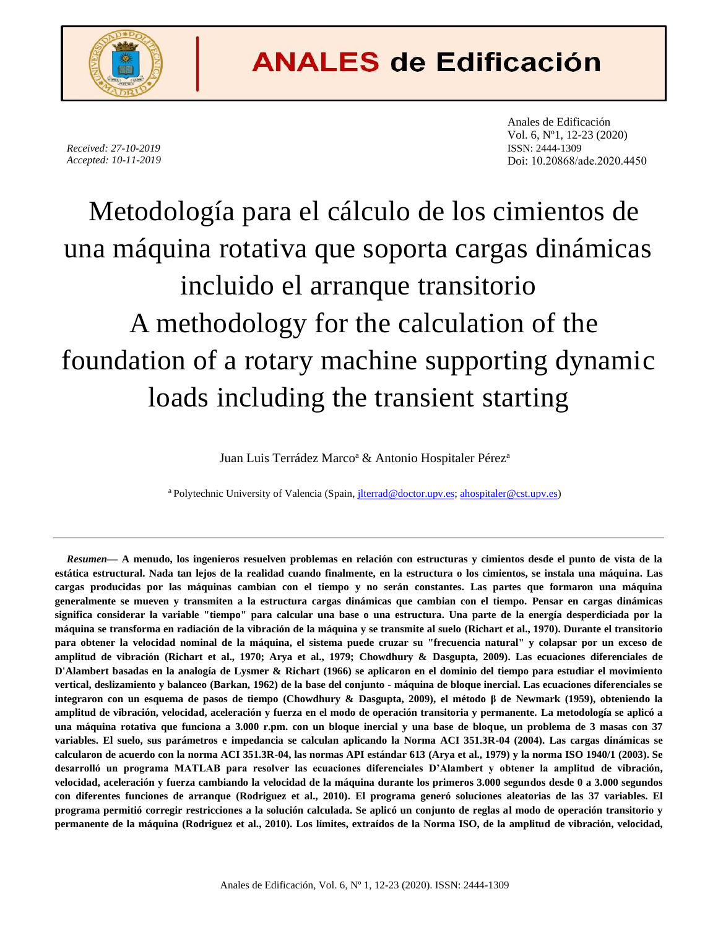

## **ANALES de Edificación**

*Received: 27-10-2019 Accepted: 10-11-2019* Anales de Edificación Vol. 6, Nº1, 12-23 (2020) ISSN: 2444-1309 Doi: 10.20868/ade.2020.4450

# Metodología para el cálculo de los cimientos de una máquina rotativa que soporta cargas dinámicas incluido el arranque transitorio A methodology for the calculation of the foundation of a rotary machine supporting dynamic loads including the transient starting

Juan Luis Terrádez Marco<sup>a</sup> & Antonio Hospitaler Pérez<sup>a</sup>

<sup>a</sup> Polytechnic University of Valencia (Spain, *jlterrad@doctor.upv.es; [ahospitaler@cst.upv.es\)](mailto:ahospitaler@cst.upv.es)* 

*Resumen***— A menudo, los ingenieros resuelven problemas en relación con estructuras y cimientos desde el punto de vista de la estática estructural. Nada tan lejos de la realidad cuando finalmente, en la estructura o los cimientos, se instala una máquina. Las cargas producidas por las máquinas cambian con el tiempo y no serán constantes. Las partes que formaron una máquina generalmente se mueven y transmiten a la estructura cargas dinámicas que cambian con el tiempo. Pensar en cargas dinámicas significa considerar la variable "tiempo" para calcular una base o una estructura. Una parte de la energía desperdiciada por la máquina se transforma en radiación de la vibración de la máquina y se transmite al suelo (Richart et al., 1970). Durante el transitorio para obtener la velocidad nominal de la máquina, el sistema puede cruzar su "frecuencia natural" y colapsar por un exceso de amplitud de vibración (Richart et al., 1970; Arya et al., 1979; Chowdhury & Dasgupta, 2009). Las ecuaciones diferenciales de D'Alambert basadas en la analogía de Lysmer & Richart (1966) se aplicaron en el dominio del tiempo para estudiar el movimiento vertical, deslizamiento y balanceo (Barkan, 1962) de la base del conjunto - máquina de bloque inercial. Las ecuaciones diferenciales se integraron con un esquema de pasos de tiempo (Chowdhury & Dasgupta, 2009), el método β de Newmark (1959), obteniendo la amplitud de vibración, velocidad, aceleración y fuerza en el modo de operación transitoria y permanente. La metodología se aplicó a una máquina rotativa que funciona a 3.000 r.pm. con un bloque inercial y una base de bloque, un problema de 3 masas con 37 variables. El suelo, sus parámetros e impedancia se calculan aplicando la Norma ACI 351.3R-04 (2004). Las cargas dinámicas se calcularon de acuerdo con la norma ACI 351.3R-04, las normas API estándar 613 (Arya et al., 1979) y la norma ISO 1940/1 (2003). Se desarrolló un programa MATLAB para resolver las ecuaciones diferenciales D'Alambert y obtener la amplitud de vibración, velocidad, aceleración y fuerza cambiando la velocidad de la máquina durante los primeros 3.000 segundos desde 0 a 3.000 segundos con diferentes funciones de arranque (Rodriguez et al., 2010). El programa generó soluciones aleatorias de las 37 variables. El programa permitió corregir restricciones a la solución calculada. Se aplicó un conjunto de reglas al modo de operación transitorio y permanente de la máquina (Rodriguez et al., 2010). Los límites, extraídos de la Norma ISO, de la amplitud de vibración, velocidad,**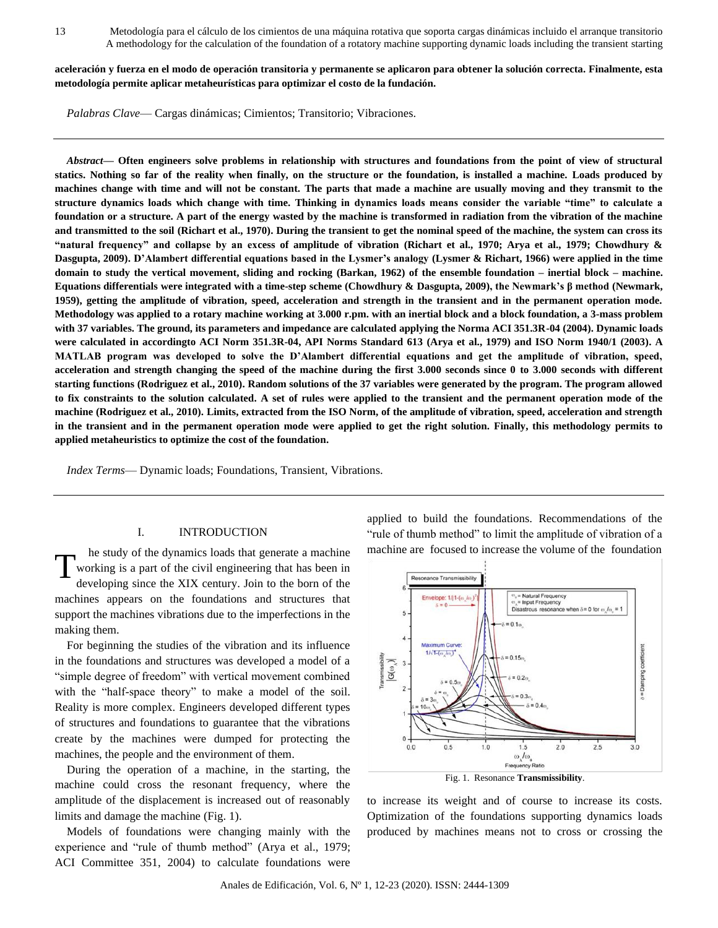**aceleración y fuerza en el modo de operación transitoria y permanente se aplicaron para obtener la solución correcta. Finalmente, esta metodología permite aplicar metaheurísticas para optimizar el costo de la fundación.**

*Palabras Clave*— Cargas dinámicas; Cimientos; Transitorio; Vibraciones.

*Abstract***— Often engineers solve problems in relationship with structures and foundations from the point of view of structural statics. Nothing so far of the reality when finally, on the structure or the foundation, is installed a machine. Loads produced by machines change with time and will not be constant. The parts that made a machine are usually moving and they transmit to the structure dynamics loads which change with time. Thinking in dynamics loads means consider the variable "time" to calculate a foundation or a structure. A part of the energy wasted by the machine is transformed in radiation from the vibration of the machine and transmitted to the soil (Richart et al., 1970). During the transient to get the nominal speed of the machine, the system can cross its "natural frequency" and collapse by an excess of amplitude of vibration (Richart et al., 1970; Arya et al., 1979; Chowdhury & Dasgupta, 2009). D'Alambert differential equations based in the Lysmer's analogy (Lysmer & Richart, 1966) were applied in the time domain to study the vertical movement, sliding and rocking (Barkan, 1962) of the ensemble foundation – inertial block – machine. Equations differentials were integrated with a time-step scheme (Chowdhury & Dasgupta, 2009), the Newmark's β method (Newmark, 1959), getting the amplitude of vibration, speed, acceleration and strength in the transient and in the permanent operation mode. Methodology was applied to a rotary machine working at 3.000 r.pm. with an inertial block and a block foundation, a 3-mass problem with 37 variables. The ground, its parameters and impedance are calculated applying the Norma ACI 351.3R-04 (2004). Dynamic loads were calculated in accordingto ACI Norm 351.3R-04, API Norms Standard 613 (Arya et al., 1979) and ISO Norm 1940/1 (2003). A MATLAB program was developed to solve the D'Alambert differential equations and get the amplitude of vibration, speed, acceleration and strength changing the speed of the machine during the first 3.000 seconds since 0 to 3.000 seconds with different starting functions (Rodriguez et al., 2010). Random solutions of the 37 variables were generated by the program. The program allowed to fix constraints to the solution calculated. A set of rules were applied to the transient and the permanent operation mode of the machine (Rodriguez et al., 2010). Limits, extracted from the ISO Norm, of the amplitude of vibration, speed, acceleration and strength in the transient and in the permanent operation mode were applied to get the right solution. Finally, this methodology permits to applied metaheuristics to optimize the cost of the foundation.**

*Index Terms*— Dynamic loads; Foundations, Transient, Vibrations.

#### I. INTRODUCTION

he study of the dynamics loads that generate a machine working is a part of the civil engineering that has been in developing since the XIX century. Join to the born of the machines appears on the foundations and structures that support the machines vibrations due to the imperfections in the making them. T

For beginning the studies of the vibration and its influence in the foundations and structures was developed a model of a "simple degree of freedom" with vertical movement combined with the "half-space theory" to make a model of the soil. Reality is more complex. Engineers developed different types of structures and foundations to guarantee that the vibrations create by the machines were dumped for protecting the machines, the people and the environment of them.

During the operation of a machine, in the starting, the machine could cross the resonant frequency, where the amplitude of the displacement is increased out of reasonably limits and damage the machine (Fig. 1).

Models of foundations were changing mainly with the experience and "rule of thumb method" (Arya et al., 1979; ACI Committee 351, 2004) to calculate foundations were

applied to build the foundations. Recommendations of the "rule of thumb method" to limit the amplitude of vibration of a machine are focused to increase the volume of the foundation



to increase its weight and of course to increase its costs. Optimization of the foundations supporting dynamics loads produced by machines means not to cross or crossing the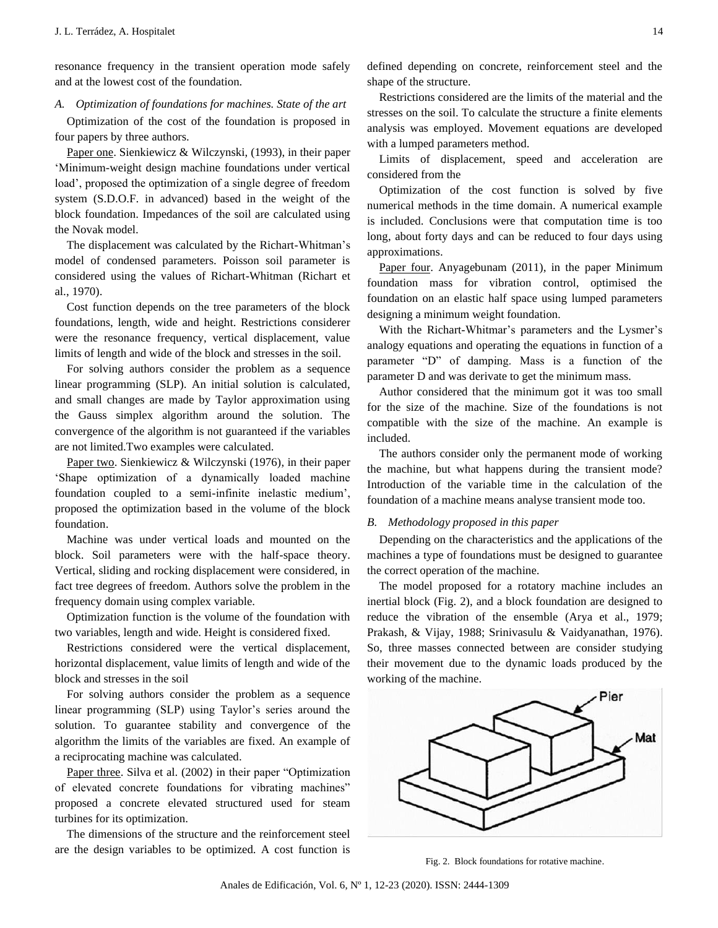resonance frequency in the transient operation mode safely and at the lowest cost of the foundation.

*A. Optimization of foundations for machines. State of the art*

Optimization of the cost of the foundation is proposed in four papers by three authors.

Paper one. Sienkiewicz & Wilczynski, (1993), in their paper 'Minimum-weight design machine foundations under vertical load', proposed the optimization of a single degree of freedom system (S.D.O.F. in advanced) based in the weight of the block foundation. Impedances of the soil are calculated using the Novak model.

The displacement was calculated by the Richart-Whitman's model of condensed parameters. Poisson soil parameter is considered using the values of Richart-Whitman (Richart et al., 1970).

Cost function depends on the tree parameters of the block foundations, length, wide and height. Restrictions considerer were the resonance frequency, vertical displacement, value limits of length and wide of the block and stresses in the soil.

For solving authors consider the problem as a sequence linear programming (SLP). An initial solution is calculated, and small changes are made by Taylor approximation using the Gauss simplex algorithm around the solution. The convergence of the algorithm is not guaranteed if the variables are not limited.Two examples were calculated.

Paper two. Sienkiewicz & Wilczynski (1976), in their paper 'Shape optimization of a dynamically loaded machine foundation coupled to a semi-infinite inelastic medium', proposed the optimization based in the volume of the block foundation.

Machine was under vertical loads and mounted on the block. Soil parameters were with the half-space theory. Vertical, sliding and rocking displacement were considered, in fact tree degrees of freedom. Authors solve the problem in the frequency domain using complex variable.

Optimization function is the volume of the foundation with two variables, length and wide. Height is considered fixed.

Restrictions considered were the vertical displacement, horizontal displacement, value limits of length and wide of the block and stresses in the soil

For solving authors consider the problem as a sequence linear programming (SLP) using Taylor's series around the solution. To guarantee stability and convergence of the algorithm the limits of the variables are fixed. An example of a reciprocating machine was calculated.

Paper three. Silva et al. (2002) in their paper "Optimization of elevated concrete foundations for vibrating machines" proposed a concrete elevated structured used for steam turbines for its optimization.

The dimensions of the structure and the reinforcement steel are the design variables to be optimized. A cost function is defined depending on concrete, reinforcement steel and the shape of the structure.

Restrictions considered are the limits of the material and the stresses on the soil. To calculate the structure a finite elements analysis was employed. Movement equations are developed with a lumped parameters method.

Limits of displacement, speed and acceleration are considered from the

Optimization of the cost function is solved by five numerical methods in the time domain. A numerical example is included. Conclusions were that computation time is too long, about forty days and can be reduced to four days using approximations.

Paper four. Anyagebunam (2011), in the paper Minimum foundation mass for vibration control, optimised the foundation on an elastic half space using lumped parameters designing a minimum weight foundation.

With the Richart-Whitmar's parameters and the Lysmer's analogy equations and operating the equations in function of a parameter "D" of damping. Mass is a function of the parameter D and was derivate to get the minimum mass.

Author considered that the minimum got it was too small for the size of the machine. Size of the foundations is not compatible with the size of the machine. An example is included.

The authors consider only the permanent mode of working the machine, but what happens during the transient mode? Introduction of the variable time in the calculation of the foundation of a machine means analyse transient mode too.

#### *B. Methodology proposed in this paper*

Depending on the characteristics and the applications of the machines a type of foundations must be designed to guarantee the correct operation of the machine.

The model proposed for a rotatory machine includes an inertial block (Fig. 2), and a block foundation are designed to reduce the vibration of the ensemble (Arya et al., 1979; Prakash, & Vijay, 1988; Srinivasulu & Vaidyanathan, 1976). So, three masses connected between are consider studying their movement due to the dynamic loads produced by the working of the machine.



Fig. 2. Block foundations for rotative machine.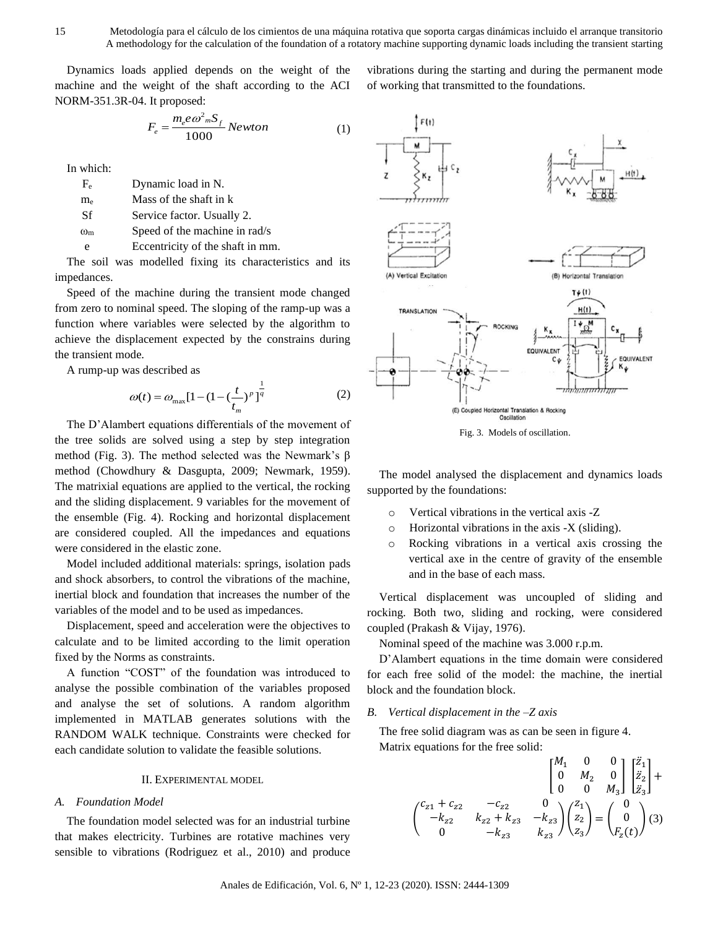Dynamics loads applied depends on the weight of the machine and the weight of the shaft according to the ACI NORM-351.3R-04. It proposed:

$$
F_e = \frac{m_e e \omega_m^2 S_f}{1000} Newton \tag{1}
$$

In which:

| $F_e$           | Dynamic load in N.            |
|-----------------|-------------------------------|
| $\rm m_{\rm e}$ | Mass of the shaft in k        |
| Sf              | Service factor. Usually 2.    |
| $_{\rm 0m}$     | Speed of the machine in rad/s |
|                 |                               |

e Eccentricity of the shaft in mm.

The soil was modelled fixing its characteristics and its impedances.

Speed of the machine during the transient mode changed from zero to nominal speed. The sloping of the ramp-up was a function where variables were selected by the algorithm to achieve the displacement expected by the constrains during the transient mode.

A rump-up was described as

$$
\omega(t) = \omega_{\text{max}} [1 - (1 - (\frac{t}{t_m})^p)]^{\frac{1}{q}}
$$
 (2)

The D'Alambert equations differentials of the movement of the tree solids are solved using a step by step integration method (Fig. 3). The method selected was the Newmark's β method (Chowdhury & Dasgupta, 2009; Newmark, 1959). The matrixial equations are applied to the vertical, the rocking and the sliding displacement. 9 variables for the movement of the ensemble (Fig. 4). Rocking and horizontal displacement are considered coupled. All the impedances and equations were considered in the elastic zone.

Model included additional materials: springs, isolation pads and shock absorbers, to control the vibrations of the machine, inertial block and foundation that increases the number of the variables of the model and to be used as impedances.

Displacement, speed and acceleration were the objectives to calculate and to be limited according to the limit operation fixed by the Norms as constraints.

A function "COST" of the foundation was introduced to analyse the possible combination of the variables proposed and analyse the set of solutions. A random algorithm implemented in MATLAB generates solutions with the RANDOM WALK technique. Constraints were checked for each candidate solution to validate the feasible solutions.

#### II. EXPERIMENTAL MODEL

#### *A. Foundation Model*

The foundation model selected was for an industrial turbine that makes electricity. Turbines are rotative machines very sensible to vibrations (Rodriguez et al., 2010) and produce vibrations during the starting and during the permanent mode of working that transmitted to the foundations.





The model analysed the displacement and dynamics loads supported by the foundations:

- o Vertical vibrations in the vertical axis -Z
- o Horizontal vibrations in the axis -X (sliding).
- o Rocking vibrations in a vertical axis crossing the vertical axe in the centre of gravity of the ensemble and in the base of each mass.

Vertical displacement was uncoupled of sliding and rocking. Both two, sliding and rocking, were considered coupled (Prakash & Vijay, 1976).

Nominal speed of the machine was 3.000 r.p.m.

D'Alambert equations in the time domain were considered for each free solid of the model: the machine, the inertial block and the foundation block.

#### *B. Vertical displacement in the –Z axis*

The free solid diagram was as can be seen in figure 4. Matrix equations for the free solid:

$$
\begin{pmatrix} c_{z1} + c_{z2} & -c_{z2} & 0 \ 0 & M_2 & 0 \ -k_{z2} & k_{z2} + k_{z3} & -k_{z3} \ 0 & -k_{z3} & k_{z3} \ \end{pmatrix} \begin{pmatrix} z_1 \\ z_2 \\ z_3 \end{pmatrix} = \begin{pmatrix} 0 \\ 0 \\ F_z(t) \end{pmatrix} (3)
$$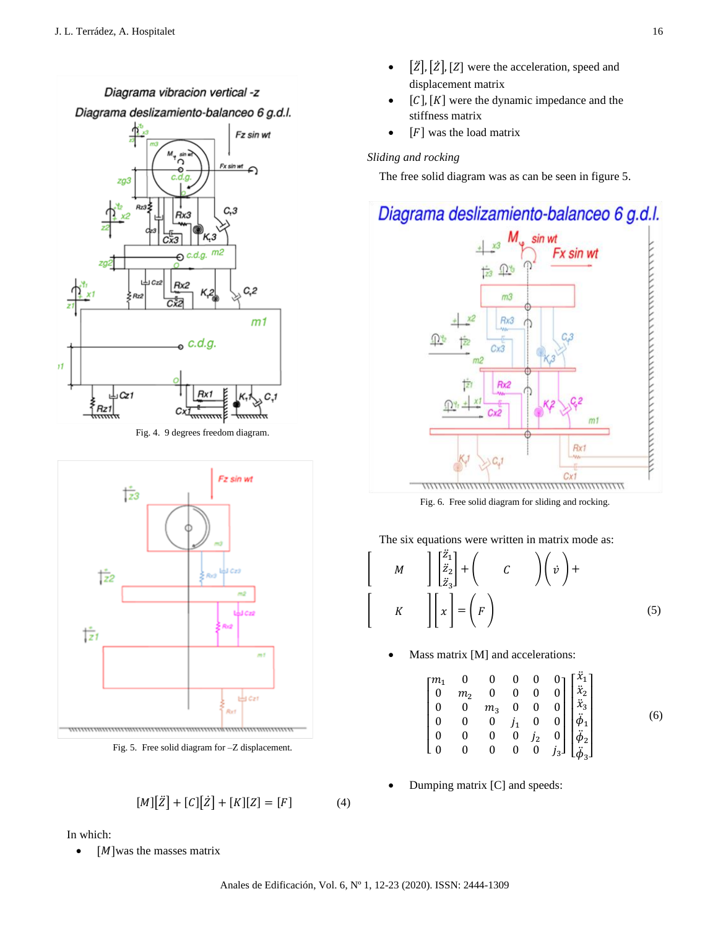#### Diagrama vibracion vertical -z

Diagrama deslizamiento-balanceo 6 g.d.l.



Fig. 4. 9 degrees freedom diagram.



Fig. 5. Free solid diagram for –Z displacement.

$$
[M][\ddot{Z}] + [C][\dot{Z}] + [K][Z] = [F]
$$
 (4)

In which:

•  $[M]$ was the masses matrix

- $[\ddot{z}]$ ,  $[\ddot{z}]$ ,  $[Z]$  were the acceleration, speed and displacement matrix
- $[C]$ ,  $[K]$  were the dynamic impedance and the stiffness matrix
- $[F]$  was the load matrix

#### *Sliding and rocking*

The free solid diagram was as can be seen in figure 5.

### Diagrama deslizamiento-balanceo 6 g.d.l.



Fig. 6. Free solid diagram for sliding and rocking.

The six equations were written in matrix mode as:

$$
\begin{bmatrix}\nM & \begin{bmatrix} \frac{z_1}{z_2} \\ z_3 \end{bmatrix} + \begin{pmatrix} c & \end{pmatrix} \begin{pmatrix} v \\ v \end{pmatrix} + \begin{bmatrix} K & \begin{bmatrix} x \end{bmatrix} = \begin{pmatrix} F \end{pmatrix}\n\end{bmatrix}
$$
\n(5)

Mass matrix [M] and accelerations:

|  |  |  | $\begin{bmatrix} m_1 & 0 & 0 & 0 & 0 & 0 \\ 0 & m_2 & 0 & 0 & 0 & 0 \\ 0 & 0 & m_3 & 0 & 0 & 0 \\ 0 & 0 & 0 & j_1 & 0 & 0 \\ 0 & 0 & 0 & 0 & j_2 & 0 \\ 0 & 0 & 0 & 0 & 0 & j_3 \end{bmatrix} \begin{bmatrix} \ddot{x}_1 \\ \ddot{x}_2 \\ \ddot{x}_3 \\ \ddot{\phi}_1 \\ \ddot{\phi}_2 \\ \ddot{\phi}_3 \end{bmatrix}$ |  |
|--|--|--|------------------------------------------------------------------------------------------------------------------------------------------------------------------------------------------------------------------------------------------------------------------------------------------------------------------------|--|

• Dumping matrix [C] and speeds: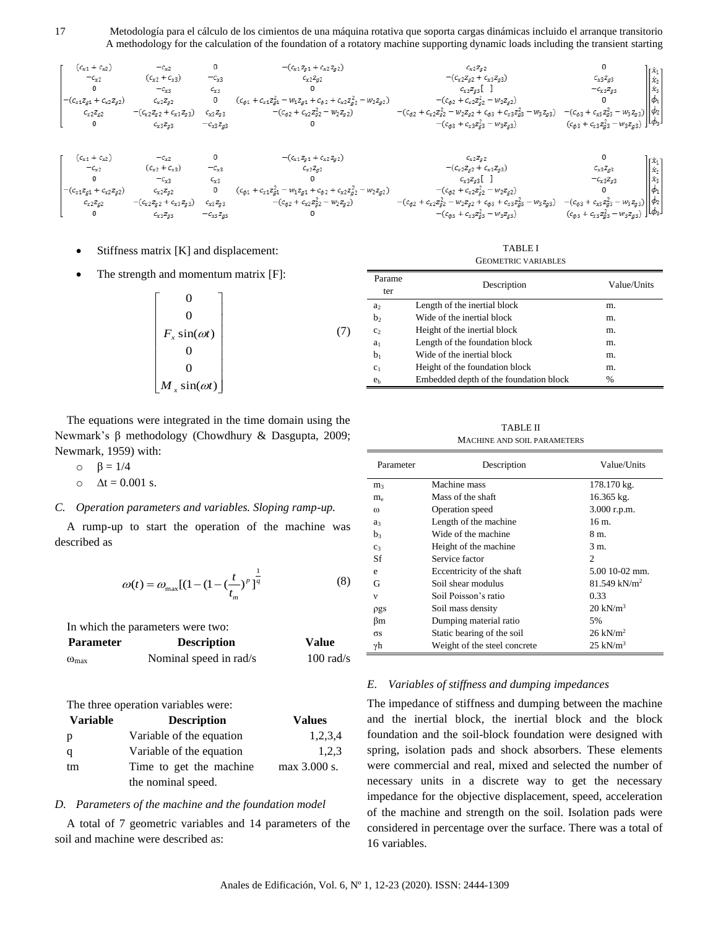

Stiffness matrix [K] and displacement:

The strength and momentum matrix [F]:

$$
\begin{bmatrix}\n0 \\
0 \\
F_x \sin(\omega t) \\
0 \\
0 \\
M_x \sin(\omega t)\n\end{bmatrix}
$$
\n(7)

The equations were integrated in the time domain using the Newmark's β methodology (Chowdhury & Dasgupta, 2009; Newmark, 1959) with:

$$
\circ \quad \beta = 1/4
$$

 $\Delta t = 0.001$  s.

#### *C. Operation parameters and variables. Sloping ramp-up.*

A rump-up to start the operation of the machine was described as

$$
\omega(t) = \omega_{\text{max}} \left[ (1 - (1 - (\frac{t}{t_m})^p)^{\frac{1}{q}} \right]
$$
 (8)

| In which the parameters were two: |                        |                     |
|-----------------------------------|------------------------|---------------------|
| <b>Parameter</b>                  | <b>Description</b>     | Value               |
| $\omega_{\text{max}}$             | Nominal speed in rad/s | $100 \text{ rad/s}$ |

The three operation variables were:

| <b>Variable</b> | <b>Description</b>       | <b>Values</b> |
|-----------------|--------------------------|---------------|
| p               | Variable of the equation | 1,2,3,4       |
|                 | Variable of the equation | 1.2.3         |
| tm              | Time to get the machine  | max 3.000 s.  |
|                 | the nominal speed.       |               |

#### *D. Parameters of the machine and the foundation model*

A total of 7 geometric variables and 14 parameters of the soil and machine were described as:

TABLE I GEOMETRIC VARIABLES

| Parame<br>ter  | Description                            | Value/Units   |
|----------------|----------------------------------------|---------------|
| a <sub>2</sub> | Length of the inertial block           | m.            |
| b <sub>2</sub> | Wide of the inertial block             | m.            |
| C <sub>2</sub> | Height of the inertial block           | m.            |
| $a_1$          | Length of the foundation block         | m.            |
| $b_1$          | Wide of the inertial block             | m.            |
| c <sub>1</sub> | Height of the foundation block         | m.            |
| e <sub>b</sub> | Embedded depth of the foundation block | $\frac{0}{0}$ |

TABLE II MACHINE AND SOIL PARAMETERS

| Parameter      | Description                  | Value/Units                |
|----------------|------------------------------|----------------------------|
| m <sub>3</sub> | Machine mass                 | 178.170 kg.                |
| $m_e$          | Mass of the shaft            | 16.365 kg.                 |
| $\omega$       | Operation speed              | 3.000 r.p.m.               |
| a <sub>3</sub> | Length of the machine        | 16 m.                      |
| b3             | Wide of the machine          | 8 m.                       |
| C <sub>3</sub> | Height of the machine        | 3 m.                       |
| Sf             | Service factor               | 2                          |
| e              | Eccentricity of the shaft    | $5.0010 - 02$ mm.          |
| G              | Soil shear modulus           | $81.549$ kN/m <sup>2</sup> |
| v              | Soil Poisson's ratio         | 0.33                       |
| ρgs            | Soil mass density            | $20 \text{ kN/m}^3$        |
| βm             | Dumping material ratio       | 5%                         |
| $\sigma s$     | Static bearing of the soil   | $26 \text{ kN/m}^2$        |
| γh             | Weight of the steel concrete | $25$ kN/m <sup>3</sup>     |

#### *E. Variables of stiffness and dumping impedances*

The impedance of stiffness and dumping between the machine and the inertial block, the inertial block and the block foundation and the soil-block foundation were designed with spring, isolation pads and shock absorbers. These elements were commercial and real, mixed and selected the number of necessary units in a discrete way to get the necessary impedance for the objective displacement, speed, acceleration of the machine and strength on the soil. Isolation pads were considered in percentage over the surface. There was a total of 16 variables.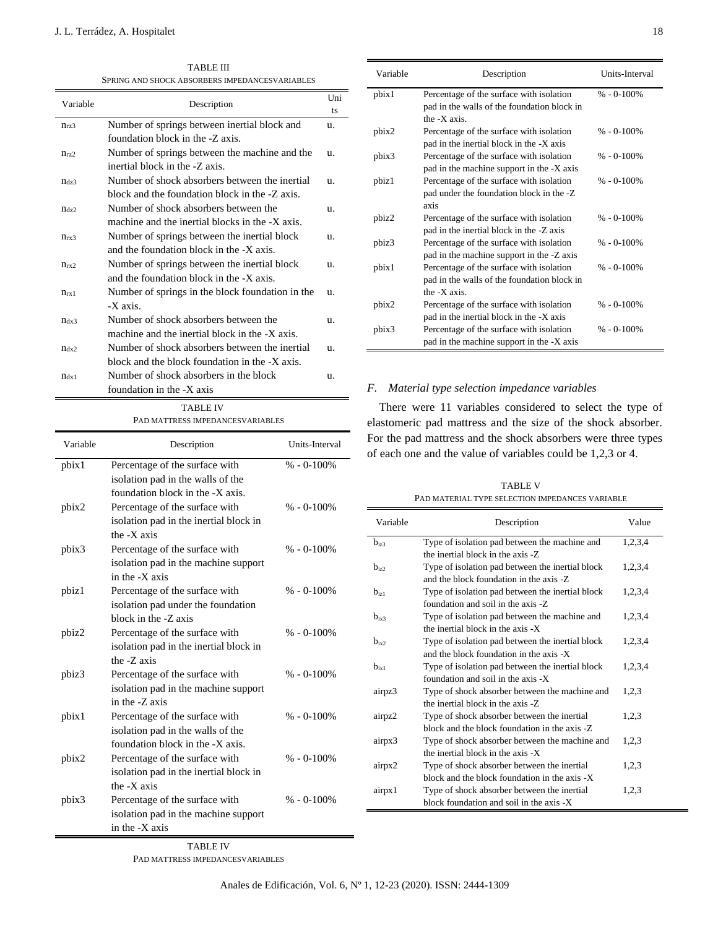TABLE III SPRING AND SHOCK ABSORBERS IMPEDANCESVARIABLES

|                  | <b>ADJONDENJ INII E</b>                          |           |
|------------------|--------------------------------------------------|-----------|
| Variable         | Description                                      | Uni<br>ts |
| $n_{rz3}$        | Number of springs between inertial block and     | u.        |
|                  | foundation block in the -Z axis.                 |           |
| $n_{\rm rz2}$    | Number of springs between the machine and the    | u.        |
|                  | inertial block in the -Z axis.                   |           |
| $n_{dz}$         | Number of shock absorbers between the inertial   | u.        |
|                  | block and the foundation block in the -Z axis.   |           |
| $\eta$ dz $2$    | Number of shock absorbers between the            | u.        |
|                  | machine and the inertial blocks in the -X axis.  |           |
| $n_{rx3}$        | Number of springs between the inertial block     | u.        |
|                  | and the foundation block in the -X axis.         |           |
| n <sub>rx2</sub> | Number of springs between the inertial block     | u.        |
|                  | and the foundation block in the -X axis.         |           |
| $n_{rx1}$        | Number of springs in the block foundation in the | u.        |
|                  | -X axis.                                         |           |
| $n_{dx3}$        | Number of shock absorbers between the            | u.        |
|                  | machine and the inertial block in the -X axis.   |           |
| $\eta_{dx2}$     | Number of shock absorbers between the inertial   | u.        |
|                  | block and the block foundation in the $-X$ axis. |           |
| n <sub>dx1</sub> | Number of shock absorbers in the block           | u.        |
|                  | foundation in the -X axis                        |           |

TABLE IV

#### PAD MATTRESS IMPEDANCESVARIABLES

| Variable | Description                            | Units-Interval |
|----------|----------------------------------------|----------------|
| pbix1    | Percentage of the surface with         | $% -0-100%$    |
|          | isolation pad in the walls of the      |                |
|          | foundation block in the -X axis.       |                |
| pbix2    | Percentage of the surface with         | $% -0-100%$    |
|          | isolation pad in the inertial block in |                |
|          | the -X axis                            |                |
| pbix3    | Percentage of the surface with         | $% -0-100%$    |
|          | isolation pad in the machine support   |                |
|          | in the -X axis                         |                |
| pbiz1    | Percentage of the surface with         | $% -0-100%$    |
|          | isolation pad under the foundation     |                |
|          | block in the -Z axis                   |                |
| pbiz2    | Percentage of the surface with         | $% -0-100%$    |
|          | isolation pad in the inertial block in |                |
|          | the -Z axis                            |                |
| pbiz3    | Percentage of the surface with         | $% - 0.100\%$  |
|          | isolation pad in the machine support   |                |
|          | in the -Z axis                         |                |
| pbix1    | Percentage of the surface with         | $% -0-100%$    |
|          | isolation pad in the walls of the      |                |
|          | foundation block in the -X axis.       |                |
| pbix2    | Percentage of the surface with         | $% -0.100%$    |
|          | isolation pad in the inertial block in |                |
|          | the $-X$ axis                          |                |
| pbix3    | Percentage of the surface with         | $% -0-100%$    |
|          | isolation pad in the machine support   |                |
|          | in the -X axis                         |                |

pbix1 Percentage of the surface with isolation pad in the walls of the foundation block in the -X axis.  $% -0.100%$ pbix2 Percentage of the surface with isolation pad in the inertial block in the -X axis % - 0-100% pbix3 Percentage of the surface with isolation pad in the machine support in the -X axis  $% - 0.100%$ pbiz1 Percentage of the surface with isolation pad under the foundation block in the -Z axis % - 0-100% pbiz2 Percentage of the surface with isolation pad in the inertial block in the -Z axis % - 0-100% pbiz3 Percentage of the surface with isolation pad in the machine support in the -Z axis  $% - 0 - 100%$ pbix1 Percentage of the surface with isolation pad in the walls of the foundation block in the -X axis.  $% - 0.100%$ pbix2 Percentage of the surface with isolation % - 0-100%

Variable Description Units-Interval

#### *F. Material type selection impedance variables*

pbix3 Percentage of the surface with isolation

pad in the inertial block in the -X axis

pad in the machine support in the -X axis

There were 11 variables considered to select the type of elastomeric pad mattress and the size of the shock absorber. For the pad mattress and the shock absorbers were three types of each one and the value of variables could be 1,2,3 or 4.

TABLE V PAD MATERIAL TYPE SELECTION IMPEDANCES VARIABLE

| Variable  | Description                                      | Value   |
|-----------|--------------------------------------------------|---------|
| $b_{iz3}$ | Type of isolation pad between the machine and    | 1,2,3,4 |
|           | the inertial block in the axis -Z                |         |
| $b_{i22}$ | Type of isolation pad between the inertial block | 1,2,3,4 |
|           | and the block foundation in the axis -Z.         |         |
| $b_{i+1}$ | Type of isolation pad between the inertial block | 1,2,3,4 |
|           | foundation and soil in the axis -Z.              |         |
| $b_{i+3}$ | Type of isolation pad between the machine and    | 1,2,3,4 |
|           | the inertial block in the axis -X                |         |
| $b_{ix2}$ | Type of isolation pad between the inertial block | 1,2,3,4 |
|           | and the block foundation in the axis -X          |         |
| $b_{ix1}$ | Type of isolation pad between the inertial block | 1,2,3,4 |
|           | foundation and soil in the axis -X               |         |
| airpz3    | Type of shock absorber between the machine and   | 1,2,3   |
|           | the inertial block in the axis -Z.               |         |
| airpz2    | Type of shock absorber between the inertial      | 1.2.3   |
|           | block and the block foundation in the axis -Z    |         |
| airpx3    | Type of shock absorber between the machine and   | 1,2,3   |
|           | the inertial block in the axis -X                |         |
| airpx2    | Type of shock absorber between the inertial      | 1,2,3   |
|           | block and the block foundation in the axis -X    |         |
| airpx1    | Type of shock absorber between the inertial      | 1,2,3   |
|           | block foundation and soil in the axis -X         |         |

TABLE IV

PAD MATTRESS IMPEDANCESVARIABLES

% - 0-100%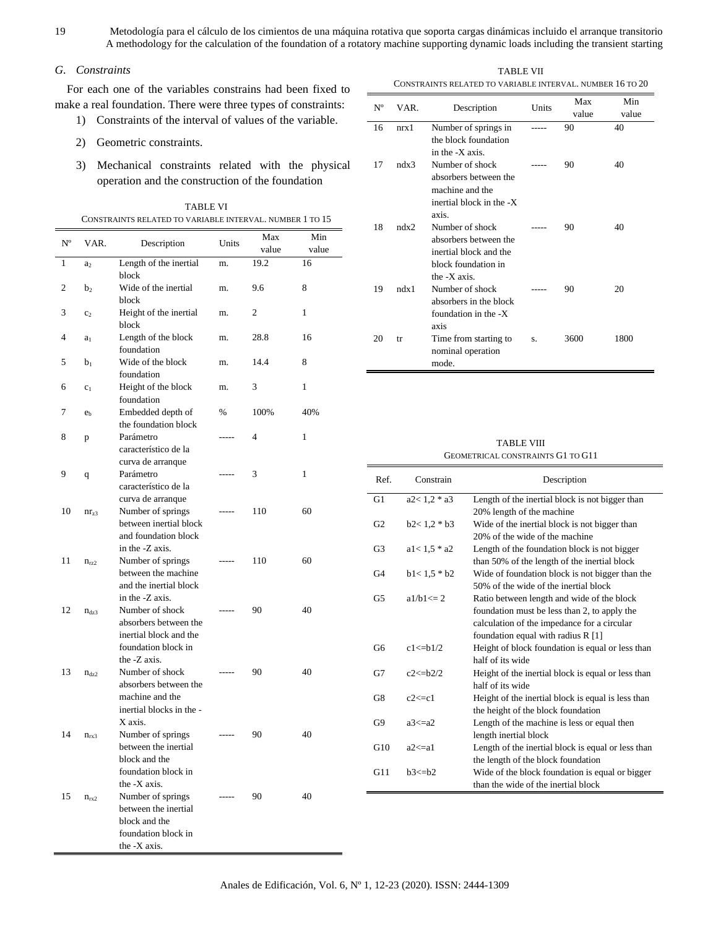#### *G. Constraints*

For each one of the variables constrains had been fixed to make a real foundation. There were three types of constraints:

- 1) Constraints of the interval of values of the variable.
- 2) Geometric constraints.
- 3) Mechanical constraints related with the physical operation and the construction of the foundation

TABLE VI CONSTRAINTS RELATED TO VARIABLE INTERVAL. NUMBER 1 TO 15

| $N^{\rm o}$ | VAR.           | Description                                                                                                  | Units       | Max<br>value | Min<br>value |
|-------------|----------------|--------------------------------------------------------------------------------------------------------------|-------------|--------------|--------------|
| 1           | a <sub>2</sub> | Length of the inertial                                                                                       | m.          | 19.2         | 16           |
| 2           | b <sub>2</sub> | block<br>Wide of the inertial<br>block                                                                       | m.          | 9.6          | 8            |
| 3           | c <sub>2</sub> | Height of the inertial<br>block                                                                              | m.          | 2            | 1            |
| 4           | a <sub>1</sub> | Length of the block<br>foundation                                                                            | m.          | 28.8         | 16           |
| 5           | $b_1$          | Wide of the block<br>foundation                                                                              | m.          | 14.4         | 8            |
| 6           | c <sub>1</sub> | Height of the block<br>foundation                                                                            | m.          | 3            | 1            |
| 7           | e <sub>h</sub> | Embedded depth of<br>the foundation block                                                                    | $\%$        | 100%         | 40%          |
| 8           | p              | Parámetro<br>característico de la                                                                            | .           | 4            | 1            |
| 9           | q              | curva de arranque<br>Parámetro<br>característico de la                                                       | -----       | 3            | 1            |
| 10          | $nr_{z3}$      | curva de arranque<br>Number of springs<br>between inertial block<br>and foundation block                     |             | 110          | 60           |
| 11          | $n_{rz2}$      | in the -Z axis.<br>Number of springs<br>between the machine<br>and the inertial block                        | ----        | 110          | 60           |
| 12          | $n_{dz}$       | in the -Z axis.<br>Number of shock<br>absorbers between the<br>inertial block and the<br>foundation block in | -----       | 90           | 40           |
| 13          | $n_{dz2}$      | the -Z axis.<br>Number of shock<br>absorbers between the<br>machine and the<br>inertial blocks in the -      | -----       | 90           | 40           |
| 14          | $n_{rx3}$      | X axis.<br>Number of springs<br>between the inertial<br>block and the<br>foundation block in<br>the -X axis. |             | 90           | 40           |
| 15          | $n_{rx2}$      | Number of springs<br>between the inertial<br>block and the<br>foundation block in<br>the -X axis.            | $- - - - -$ | 90           | 40           |

TABLE VII CONSTRAINTS RELATED TO VARIABLE INTERVAL. NUMBER 16 TO 20

| $N^{\rm o}$ | VAR. | Description                         | Units | Max<br>value | Min<br>value |
|-------------|------|-------------------------------------|-------|--------------|--------------|
| 16          | nrx1 | Number of springs in                |       | 90           | 40           |
|             |      | the block foundation                |       |              |              |
|             |      | in the -X axis.                     |       |              |              |
| 17          | ndx3 | Number of shock                     |       | 90           | 40           |
|             |      | absorbers between the               |       |              |              |
|             |      | machine and the                     |       |              |              |
|             |      | inertial block in the -X            |       |              |              |
|             |      | axis.                               |       |              |              |
| 18          | ndx2 | Number of shock                     |       | 90           | 40           |
|             |      | absorbers between the               |       |              |              |
|             |      | inertial block and the              |       |              |              |
|             |      | block foundation in<br>the -X axis. |       |              |              |
| 19          | ndx1 | Number of shock                     |       | 90           | 20           |
|             |      | absorbers in the block              |       |              |              |
|             |      | foundation in the $-X$              |       |              |              |
|             |      | axis                                |       |              |              |
| 20          | tr   | Time from starting to               | S.    | 3600         | 1800         |
|             |      | nominal operation                   |       |              |              |
|             |      | mode.                               |       |              |              |

#### TABLE VIII GEOMETRICAL CONSTRAINTS G1 TO G11

| Ref.           | Constrain       | Description                                        |
|----------------|-----------------|----------------------------------------------------|
| G1             | $a2 < 1.2 * a3$ | Length of the inertial block is not bigger than    |
|                |                 | 20% length of the machine                          |
| G <sub>2</sub> | $b2 < 1.2 * b3$ | Wide of the inertial block is not bigger than      |
|                |                 | 20% of the wide of the machine                     |
| G <sub>3</sub> | $a1 < 1.5 * a2$ | Length of the foundation block is not bigger       |
|                |                 | than 50% of the length of the inertial block       |
| G <sub>4</sub> | $b1 < 1.5 * b2$ | Wide of foundation block is not bigger than the    |
|                |                 | 50% of the wide of the inertial block              |
| G5             | $a1/b1 \leq 2$  | Ratio between length and wide of the block         |
|                |                 | foundation must be less than 2, to apply the       |
|                |                 | calculation of the impedance for a circular        |
|                |                 | foundation equal with radius R [1]                 |
| G6             | $c1 \le h1/2$   | Height of block foundation is equal or less than   |
|                |                 | half of its wide                                   |
| G7             | $c2 \le h2/2$   | Height of the inertial block is equal or less than |
|                |                 | half of its wide                                   |
| G8             | $c2 \leq c1$    | Height of the inertial block is equal is less than |
|                |                 | the height of the block foundation                 |
| G9             | $a3 \le a2$     | Length of the machine is less or equal then        |
|                |                 | length inertial block                              |
| G10            | a2<=a1          | Length of the inertial block is equal or less than |
|                |                 | the length of the block foundation                 |
| G11            | $b3 \le b2$     | Wide of the block foundation is equal or bigger    |
|                |                 | than the wide of the inertial block                |

 $\equiv$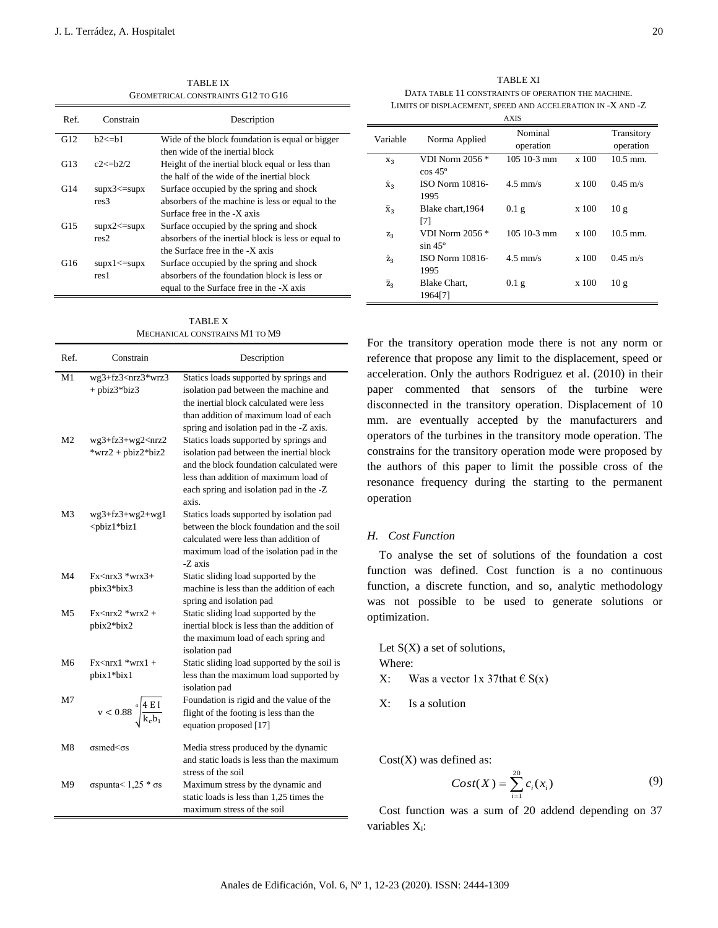TABLE IX GEOMETRICAL CONSTRAINTS G12 TO G16

| Ref. | Constrain                       | Description                                         |
|------|---------------------------------|-----------------------------------------------------|
| G12  | $h2 \le h1$                     | Wide of the block foundation is equal or bigger     |
|      |                                 | then wide of the inertial block                     |
| G13  | $c2 \le h2/2$                   | Height of the inertial block equal or less than     |
|      |                                 | the half of the wide of the inertial block          |
| G14  | $\sup x3 \leq \sup x$           | Surface occupied by the spring and shock            |
|      | res <sub>3</sub>                | absorbers of the machine is less or equal to the    |
|      |                                 | Surface free in the -X axis                         |
| G15  | $\text{supx2} \leq \text{supx}$ | Surface occupied by the spring and shock            |
|      | res2                            | absorbers of the inertial block is less or equal to |
|      |                                 | the Surface free in the -X axis                     |
| G16  | $\sup x1 \leq \sup x$           | Surface occupied by the spring and shock            |
|      | res1                            | absorbers of the foundation block is less or        |
|      |                                 | equal to the Surface free in the -X axis            |

TABLE X MECHANICAL CONSTRAINS M1 TO M9

| Ref.           | Constrain                                                                                                                                                                                                                                                | Description                                                                                                                                                                                                                 |
|----------------|----------------------------------------------------------------------------------------------------------------------------------------------------------------------------------------------------------------------------------------------------------|-----------------------------------------------------------------------------------------------------------------------------------------------------------------------------------------------------------------------------|
| M <sub>1</sub> | wg3+fz3 <nrz3*wrz3<br><math>+</math> pbiz<math>3*</math>biz<math>3</math></nrz3*wrz3<br>                                                                                                                                                                 | Statics loads supported by springs and<br>isolation pad between the machine and<br>the inertial block calculated were less<br>than addition of maximum load of each<br>spring and isolation pad in the -Z axis.             |
| M <sub>2</sub> | $wg3+fz3+wg2\leq nrz2$<br>*wrz2 + pbiz2*biz2                                                                                                                                                                                                             | Statics loads supported by springs and<br>isolation pad between the inertial block<br>and the block foundation calculated were<br>less than addition of maximum load of<br>each spring and isolation pad in the -Z<br>axis. |
| M <sub>3</sub> | $wg3+fz3+wg2+wg1$<br><pbiz1*biz1< td=""><td>Statics loads supported by isolation pad<br/>between the block foundation and the soil<br/>calculated were less than addition of<br/>maximum load of the isolation pad in the<br/>-Z axis</td></pbiz1*biz1<> | Statics loads supported by isolation pad<br>between the block foundation and the soil<br>calculated were less than addition of<br>maximum load of the isolation pad in the<br>-Z axis                                       |
| M4             | $Fx<$ nrx $3$ *wrx $3+$<br>pbix3*bix3                                                                                                                                                                                                                    | Static sliding load supported by the<br>machine is less than the addition of each<br>spring and isolation pad                                                                                                               |
| M5             | $Fx<$ nrx $2$ *wrx $2$ +<br>pbix2*bix2                                                                                                                                                                                                                   | Static sliding load supported by the<br>inertial block is less than the addition of<br>the maximum load of each spring and<br>isolation pad                                                                                 |
| M6             | $Fx<$ nrx $1$ *wrx $1 +$<br>pbix1*bix1                                                                                                                                                                                                                   | Static sliding load supported by the soil is<br>less than the maximum load supported by<br>isolation pad                                                                                                                    |
| M7             | $v<0.88\sqrt[4]{\frac{4\ E\ I}{k_c b_1}}$                                                                                                                                                                                                                | Foundation is rigid and the value of the<br>flight of the footing is less than the<br>equation proposed [17]                                                                                                                |
| M8             | $\sigma$ smed $\leq \sigma$ s                                                                                                                                                                                                                            | Media stress produced by the dynamic<br>and static loads is less than the maximum<br>stress of the soil                                                                                                                     |
| M <sup>9</sup> | $\sigma$ spunta < 1,25 $*$ $\sigma$ s                                                                                                                                                                                                                    | Maximum stress by the dynamic and<br>static loads is less than 1,25 times the<br>maximum stress of the soil                                                                                                                 |

TABLE XI DATA TABLE 11 CONSTRAINTS OF OPERATION THE MACHINE. LIMITS OF DISPLACEMENT, SPEED AND ACCELERATION IN -X AND -Z

|                |                                    | AXIS                 |         |                         |
|----------------|------------------------------------|----------------------|---------|-------------------------|
| Variable       | Norma Applied                      | Nominal<br>operation |         | Transitory<br>operation |
| $X_3$          | VDI Norm 2056 *<br>$\cos 45^\circ$ | $10510-3$ mm         | $x$ 100 | $10.5$ mm.              |
| $\dot{x}_3$    | ISO Norm 10816-<br>1995            | $4.5$ mm/s           | x 100   | $0.45 \text{ m/s}$      |
| х,             | Blake chart, 1964<br>[7]           | 0.1 <sub>g</sub>     | x 100   | 10g                     |
| $Z_2$          | VDI Norm 2056 *<br>$\sin 45^\circ$ | $10510-3$ mm         | x 100   | $10.5$ mm.              |
| Ż <sub>3</sub> | ISO Norm 10816-<br>1995            | $4.5$ mm/s           | x 100   | $0.45 \text{ m/s}$      |
| Ż3             | Blake Chart,<br>1964[7]            | $0.1$ g              | x 100   | 10g                     |

For the transitory operation mode there is not any norm or reference that propose any limit to the displacement, speed or acceleration. Only the authors Rodriguez et al. (2010) in their paper commented that sensors of the turbine were disconnected in the transitory operation. Displacement of 10 mm. are eventually accepted by the manufacturers and operators of the turbines in the transitory mode operation. The constrains for the transitory operation mode were proposed by the authors of this paper to limit the possible cross of the resonance frequency during the starting to the permanent operation

#### *H. Cost Function*

 $\blacksquare$ 

To analyse the set of solutions of the foundation a cost function was defined. Cost function is a no continuous function, a discrete function, and so, analytic methodology was not possible to be used to generate solutions or optimization.

- Let  $S(X)$  a set of solutions, Where: X: Was a vector  $1x$  37that  $\in S(x)$
- X: Is a solution

 $Cost(X)$  was defined as:

$$
Cost(X) = \sum_{i=1}^{20} c_i(x_i)
$$
 (9)

Cost function was a sum of 20 addend depending on 37 variables Xi: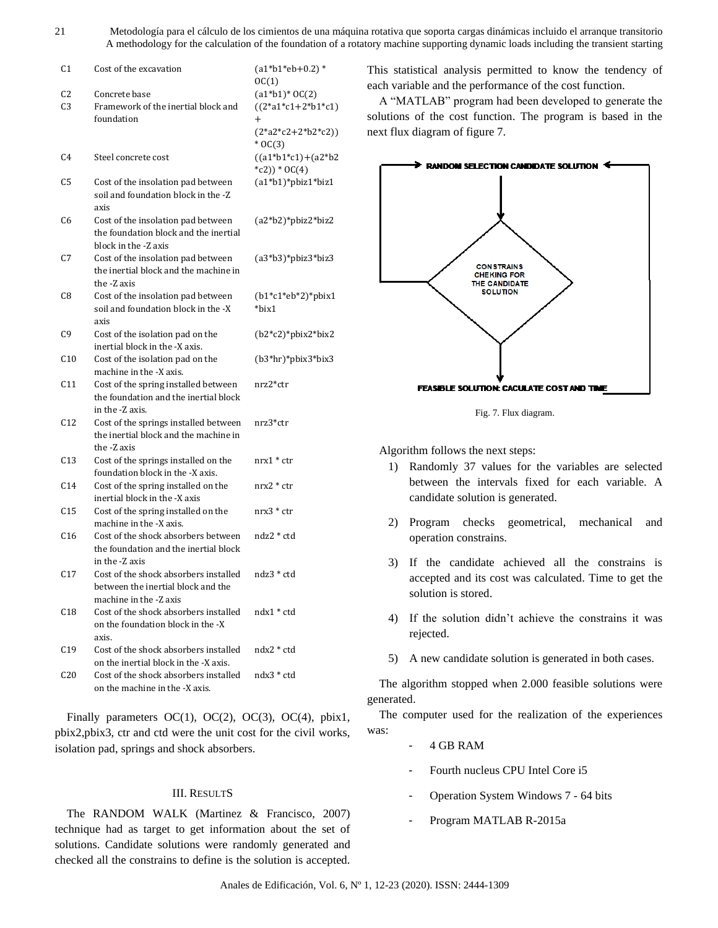| C1              | Cost of the excavation                                                                                | $(a1*b1*eb+0.2)*$<br>OC(1)               |  |
|-----------------|-------------------------------------------------------------------------------------------------------|------------------------------------------|--|
| C2              | Concrete base                                                                                         | $(a1 * b1) * 0C(2)$                      |  |
| C3              | Framework of the inertial block and                                                                   | $((2 * a 1 * c 1 + 2 * b 1 * c 1))$      |  |
|                 | foundation                                                                                            | $^{+}$                                   |  |
|                 |                                                                                                       | $(2*a2*c2+2*b2*c2))$<br>$*$ OC(3)        |  |
| C4              | Steel concrete cost                                                                                   | $((a1*b1*c1)+(a2*b2$<br>$*(c2))^*$ OC(4) |  |
| C5              | Cost of the insolation pad between<br>soil and foundation block in the -Z<br>axis                     | $(a1*b1)*pbiz1*biz1$                     |  |
| C6              | Cost of the insolation pad between<br>the foundation block and the inertial<br>block in the -Z axis   | $(a2*b2)*pbiz2*biz2$                     |  |
| C7              | Cost of the insolation pad between<br>the inertial block and the machine in<br>the -Z axis            | (a3*b3)*pbiz3*biz3                       |  |
| C8              | Cost of the insolation pad between<br>soil and foundation block in the -X<br>axis                     | $(b1*c1*eb*2)*pbix1$<br>*bix1            |  |
| C9              | Cost of the isolation pad on the<br>inertial block in the -X axis.                                    | $(b2*c2)*pbix2*bix2$                     |  |
| C <sub>10</sub> | Cost of the isolation pad on the<br>machine in the -X axis.                                           | $(b3*hr)*p bix3* bix3$                   |  |
| C11             | Cost of the spring installed between<br>the foundation and the inertial block<br>in the -Z axis.      | nrz2*ctr                                 |  |
| C12             | Cost of the springs installed between<br>the inertial block and the machine in<br>the -Z axis         | nrz3*ctr                                 |  |
| C13             | Cost of the springs installed on the<br>foundation block in the -X axis.                              | nrx1 * ctr                               |  |
| C14             | Cost of the spring installed on the<br>inertial block in the -X axis                                  | nrx2 * ctr                               |  |
| C15             | Cost of the spring installed on the<br>machine in the -X axis.                                        | $nrx3 * ctr$                             |  |
| C16             | Cost of the shock absorbers between<br>the foundation and the inertial block<br>in the -Z axis        | ndz2 * ctd                               |  |
| C17             | Cost of the shock absorbers installed<br>between the inertial block and the<br>machine in the -Z axis | ndz3 * ctd                               |  |
| C18             | Cost of the shock absorbers installed<br>on the foundation block in the -X<br>axis.                   | ndx1 * ctd                               |  |
| C19             | Cost of the shock absorbers installed<br>on the inertial block in the -X axis.                        | ndx2 * ctd                               |  |
| C20             | Cost of the shock absorbers installed<br>on the machine in the -X axis.                               | ndx3 * ctd                               |  |

Finally parameters OC(1), OC(2), OC(3), OC(4), pbix1, pbix2,pbix3, ctr and ctd were the unit cost for the civil works, isolation pad, springs and shock absorbers.

#### III. RESULTS

The RANDOM WALK (Martinez & Francisco, 2007) technique had as target to get information about the set of solutions. Candidate solutions were randomly generated and checked all the constrains to define is the solution is accepted.

This statistical analysis permitted to know the tendency of each variable and the performance of the cost function.

A "MATLAB" program had been developed to generate the solutions of the cost function. The program is based in the next flux diagram of figure 7.



Fig. 7. Flux diagram.

Algorithm follows the next steps:

- 1) Randomly 37 values for the variables are selected between the intervals fixed for each variable. A candidate solution is generated.
- 2) Program checks geometrical, mechanical and operation constrains.
- 3) If the candidate achieved all the constrains is accepted and its cost was calculated. Time to get the solution is stored.
- 4) If the solution didn't achieve the constrains it was rejected.
- 5) A new candidate solution is generated in both cases.

The algorithm stopped when 2.000 feasible solutions were generated.

The computer used for the realization of the experiences was:

- 4 GB RAM
- Fourth nucleus CPU Intel Core i5
- Operation System Windows 7 64 bits
- Program MATLAB R-2015a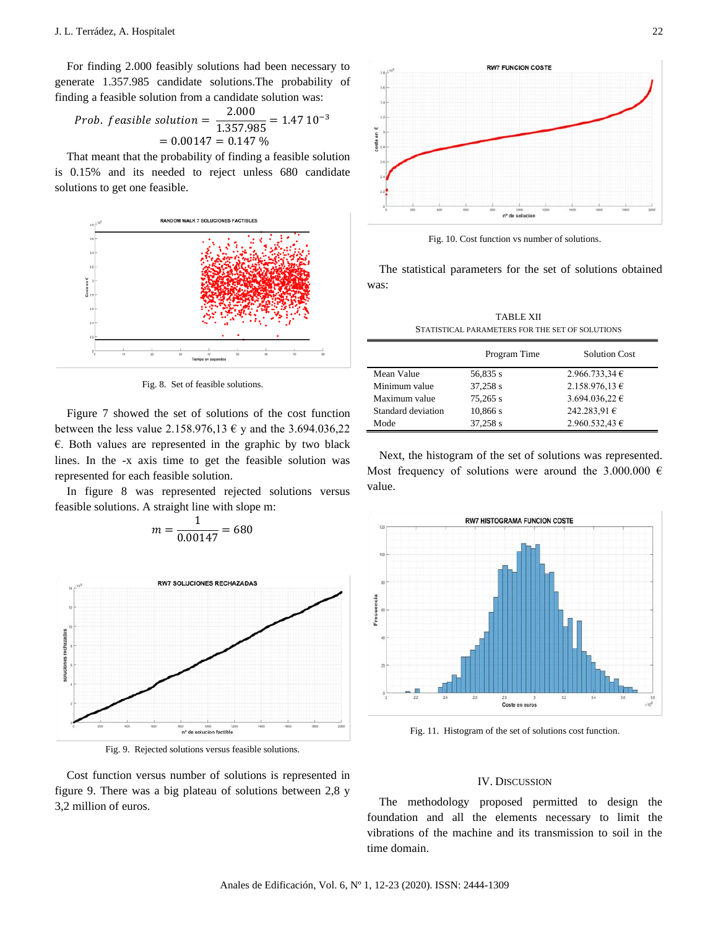For finding 2.000 feasibly solutions had been necessary to generate 1.357.985 candidate solutions.The probability of finding a feasible solution from a candidate solution was:

*Prob. feasible solution* = 
$$
\frac{2.000}{1.357.985} = 1.47 10^{-3}
$$

$$
= 0.00147 = 0.147 %
$$

That meant that the probability of finding a feasible solution is 0.15% and its needed to reject unless 680 candidate solutions to get one feasible.



Fig. 8. Set of feasible solutions.

Figure 7 showed the set of solutions of the cost function between the less value 2.158.976,13  $\epsilon$  y and the 3.694.036,22  $\epsilon$ . Both values are represented in the graphic by two black lines. In the -x axis time to get the feasible solution was represented for each feasible solution.

In figure 8 was represented rejected solutions versus feasible solutions. A straight line with slope m:

$$
m = \frac{1}{0.00147} = 680
$$
  
\nRWY SOLUTIONES RECHAZADAS

nº de solucion factible Fig. 9. Rejected solutions versus feasible solutions.

Cost function versus number of solutions is represented in figure 9. There was a big plateau of solutions between 2,8 y 3,2 million of euros.



Fig. 10. Cost function vs number of solutions.

The statistical parameters for the set of solutions obtained was:

| TABLE XII                                       |
|-------------------------------------------------|
| STATISTICAL PARAMETERS FOR THE SET OF SOLUTIONS |

|                    | Program Time | <b>Solution Cost</b> |
|--------------------|--------------|----------------------|
| Mean Value         | 56,835 s     | 2.966.733.34€        |
| Minimum value      | 37,258 s     | 2.158.976,13 €       |
| Maximum value      | 75,265 s     | 3.694.036,22 €       |
| Standard deviation | 10,866 s     | 242.283,91 €         |
| Mode               | 37,258 s     | 2.960.532,43 €       |

Next, the histogram of the set of solutions was represented. Most frequency of solutions were around the 3.000.000  $\epsilon$ value.



Fig. 11. Histogram of the set of solutions cost function.

#### IV. DISCUSSION

The methodology proposed permitted to design the foundation and all the elements necessary to limit the vibrations of the machine and its transmission to soil in the time domain.